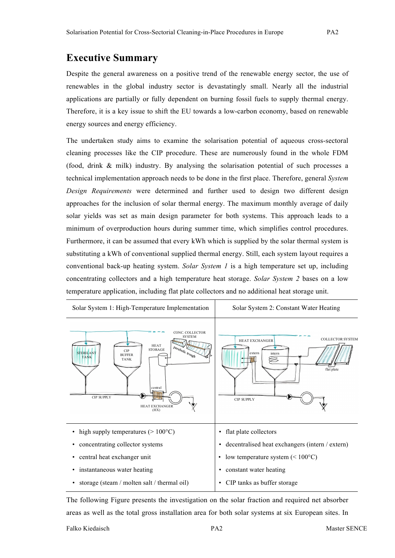## **Executive Summary**

Despite the general awareness on a positive trend of the renewable energy sector, the use of renewables in the global industry sector is devastatingly small. Nearly all the industrial applications are partially or fully dependent on burning fossil fuels to supply thermal energy. Therefore, it is a key issue to shift the EU towards a low-carbon economy, based on renewable energy sources and energy efficiency.

The undertaken study aims to examine the solarisation potential of aqueous cross-sectoral cleaning processes like the CIP procedure. These are numerously found in the whole FDM (food, drink & milk) industry. By analysing the solarisation potential of such processes a technical implementation approach needs to be done in the first place. Therefore, general *System Design Requirements* were determined and further used to design two different design approaches for the inclusion of solar thermal energy. The maximum monthly average of daily solar yields was set as main design parameter for both systems. This approach leads to a minimum of overproduction hours during summer time, which simplifies control procedures. Furthermore, it can be assumed that every kWh which is supplied by the solar thermal system is substituting a kWh of conventional supplied thermal energy. Still, each system layout requires a conventional back-up heating system. *Solar System 1* is a high temperature set up, including concentrating collectors and a high temperature heat storage. *Solar System 2* bases on a low temperature application, including flat plate collectors and no additional heat storage unit.



The following Figure presents the investigation on the solar fraction and required net absorber areas as well as the total gross installation area for both solar systems at six European sites. In